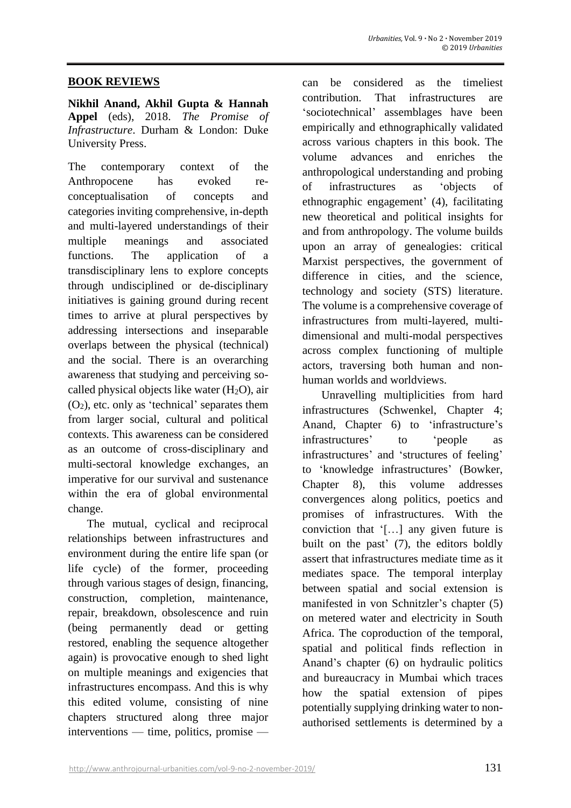#### **BOOK REVIEWS**

**Nikhil Anand, Akhil Gupta & Hannah Appel** (eds), 2018. *The Promise of Infrastructure*. Durham & London: Duke University Press.

The contemporary context of the Anthropocene has evoked reconceptualisation of concepts and categories inviting comprehensive, in-depth and multi-layered understandings of their multiple meanings and associated functions. The application of a transdisciplinary lens to explore concepts through undisciplined or de-disciplinary initiatives is gaining ground during recent times to arrive at plural perspectives by addressing intersections and inseparable overlaps between the physical (technical) and the social. There is an overarching awareness that studying and perceiving socalled physical objects like water  $(H_2O)$ , air  $(O<sub>2</sub>)$ , etc. only as 'technical' separates them from larger social, cultural and political contexts. This awareness can be considered as an outcome of cross-disciplinary and multi-sectoral knowledge exchanges, an imperative for our survival and sustenance within the era of global environmental change.

The mutual, cyclical and reciprocal relationships between infrastructures and environment during the entire life span (or life cycle) of the former, proceeding through various stages of design, financing, construction, completion, maintenance, repair, breakdown, obsolescence and ruin (being permanently dead or getting restored, enabling the sequence altogether again) is provocative enough to shed light on multiple meanings and exigencies that infrastructures encompass. And this is why this edited volume, consisting of nine chapters structured along three major interventions — time, politics, promise —

can be considered as the timeliest contribution. That infrastructures are 'sociotechnical' assemblages have been empirically and ethnographically validated across various chapters in this book. The volume advances and enriches the anthropological understanding and probing of infrastructures as 'objects of ethnographic engagement' (4), facilitating new theoretical and political insights for and from anthropology. The volume builds upon an array of genealogies: critical Marxist perspectives, the government of difference in cities, and the science, technology and society (STS) literature. The volume is a comprehensive coverage of infrastructures from multi-layered, multidimensional and multi-modal perspectives across complex functioning of multiple actors, traversing both human and nonhuman worlds and worldviews.

Unravelling multiplicities from hard infrastructures (Schwenkel, Chapter 4; Anand, Chapter 6) to 'infrastructure's infrastructures' to 'people as infrastructures' and 'structures of feeling' to 'knowledge infrastructures' (Bowker, Chapter 8), this volume addresses convergences along politics, poetics and promises of infrastructures. With the conviction that '[…] any given future is built on the past' (7), the editors boldly assert that infrastructures mediate time as it mediates space. The temporal interplay between spatial and social extension is manifested in von Schnitzler's chapter (5) on metered water and electricity in South Africa. The coproduction of the temporal, spatial and political finds reflection in Anand's chapter (6) on hydraulic politics and bureaucracy in Mumbai which traces how the spatial extension of pipes potentially supplying drinking water to nonauthorised settlements is determined by a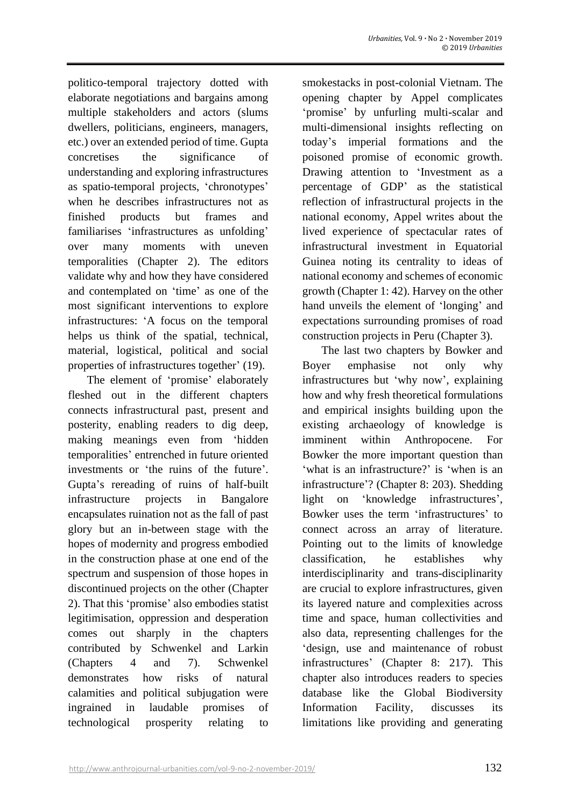politico-temporal trajectory dotted with elaborate negotiations and bargains among multiple stakeholders and actors (slums dwellers, politicians, engineers, managers, etc.) over an extended period of time. Gupta concretises the significance of understanding and exploring infrastructures as spatio-temporal projects, 'chronotypes' when he describes infrastructures not as finished products but frames and familiarises 'infrastructures as unfolding' over many moments with uneven temporalities (Chapter 2). The editors validate why and how they have considered and contemplated on 'time' as one of the most significant interventions to explore infrastructures: 'A focus on the temporal helps us think of the spatial, technical, material, logistical, political and social properties of infrastructures together' (19).

The element of 'promise' elaborately fleshed out in the different chapters connects infrastructural past, present and posterity, enabling readers to dig deep, making meanings even from 'hidden temporalities' entrenched in future oriented investments or 'the ruins of the future'. Gupta's rereading of ruins of half-built infrastructure projects in Bangalore encapsulates ruination not as the fall of past glory but an in-between stage with the hopes of modernity and progress embodied in the construction phase at one end of the spectrum and suspension of those hopes in discontinued projects on the other (Chapter 2). That this 'promise' also embodies statist legitimisation, oppression and desperation comes out sharply in the chapters contributed by Schwenkel and Larkin (Chapters 4 and 7). Schwenkel demonstrates how risks of natural calamities and political subjugation were ingrained in laudable promises of technological prosperity relating to

smokestacks in post-colonial Vietnam. The opening chapter by Appel complicates 'promise' by unfurling multi-scalar and multi-dimensional insights reflecting on today's imperial formations and the poisoned promise of economic growth. Drawing attention to 'Investment as a percentage of GDP' as the statistical reflection of infrastructural projects in the national economy, Appel writes about the lived experience of spectacular rates of infrastructural investment in Equatorial Guinea noting its centrality to ideas of national economy and schemes of economic growth (Chapter 1: 42). Harvey on the other hand unveils the element of 'longing' and expectations surrounding promises of road construction projects in Peru (Chapter 3).

The last two chapters by Bowker and Boyer emphasise not only why infrastructures but 'why now', explaining how and why fresh theoretical formulations and empirical insights building upon the existing archaeology of knowledge is imminent within Anthropocene. For Bowker the more important question than 'what is an infrastructure?' is 'when is an infrastructure'? (Chapter 8: 203). Shedding light on 'knowledge infrastructures', Bowker uses the term 'infrastructures' to connect across an array of literature. Pointing out to the limits of knowledge classification, he establishes why interdisciplinarity and trans-disciplinarity are crucial to explore infrastructures, given its layered nature and complexities across time and space, human collectivities and also data, representing challenges for the 'design, use and maintenance of robust infrastructures' (Chapter 8: 217). This chapter also introduces readers to species database like the Global Biodiversity Information Facility, discusses its limitations like providing and generating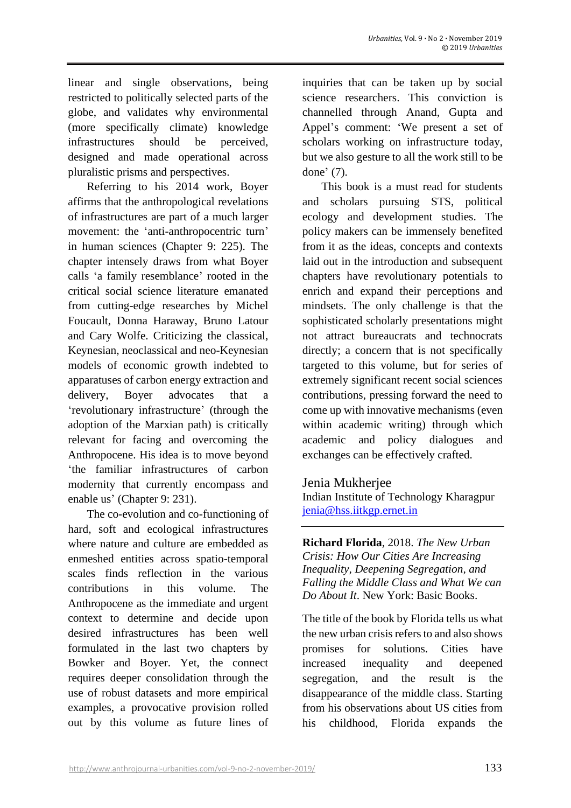linear and single observations, being restricted to politically selected parts of the globe, and validates why environmental (more specifically climate) knowledge infrastructures should be perceived, designed and made operational across pluralistic prisms and perspectives.

Referring to his 2014 work, Boyer affirms that the anthropological revelations of infrastructures are part of a much larger movement: the 'anti-anthropocentric turn' in human sciences (Chapter 9: 225). The chapter intensely draws from what Boyer calls 'a family resemblance' rooted in the critical social science literature emanated from cutting-edge researches by Michel Foucault, Donna Haraway, Bruno Latour and Cary Wolfe. Criticizing the classical, Keynesian, neoclassical and neo-Keynesian models of economic growth indebted to apparatuses of carbon energy extraction and delivery, Boyer advocates that a 'revolutionary infrastructure' (through the adoption of the Marxian path) is critically relevant for facing and overcoming the Anthropocene. His idea is to move beyond 'the familiar infrastructures of carbon modernity that currently encompass and enable us' (Chapter 9: 231).

The co-evolution and co-functioning of hard, soft and ecological infrastructures where nature and culture are embedded as enmeshed entities across spatio-temporal scales finds reflection in the various contributions in this volume. The Anthropocene as the immediate and urgent context to determine and decide upon desired infrastructures has been well formulated in the last two chapters by Bowker and Boyer. Yet, the connect requires deeper consolidation through the use of robust datasets and more empirical examples, a provocative provision rolled out by this volume as future lines of inquiries that can be taken up by social science researchers. This conviction is channelled through Anand, Gupta and Appel's comment: 'We present a set of scholars working on infrastructure today, but we also gesture to all the work still to be done' (7).

This book is a must read for students and scholars pursuing STS, political ecology and development studies. The policy makers can be immensely benefited from it as the ideas, concepts and contexts laid out in the introduction and subsequent chapters have revolutionary potentials to enrich and expand their perceptions and mindsets. The only challenge is that the sophisticated scholarly presentations might not attract bureaucrats and technocrats directly; a concern that is not specifically targeted to this volume, but for series of extremely significant recent social sciences contributions, pressing forward the need to come up with innovative mechanisms (even within academic writing) through which academic and policy dialogues and exchanges can be effectively crafted.

### Jenia Mukherjee

Indian Institute of Technology Kharagpur [jenia@hss.iitkgp.ernet.in](mailto:jenia@hss.iitkgp.ernet.in)

**Richard Florida**, 2018. *The New Urban Crisis: How Our Cities Are Increasing Inequality, Deepening Segregation, and Falling the Middle Class and What We can Do About It*. New York: Basic Books.

The title of the book by Florida tells us what the new urban crisis refers to and also shows promises for solutions. Cities have increased inequality and deepened segregation, and the result is the disappearance of the middle class. Starting from his observations about US cities from his childhood, Florida expands the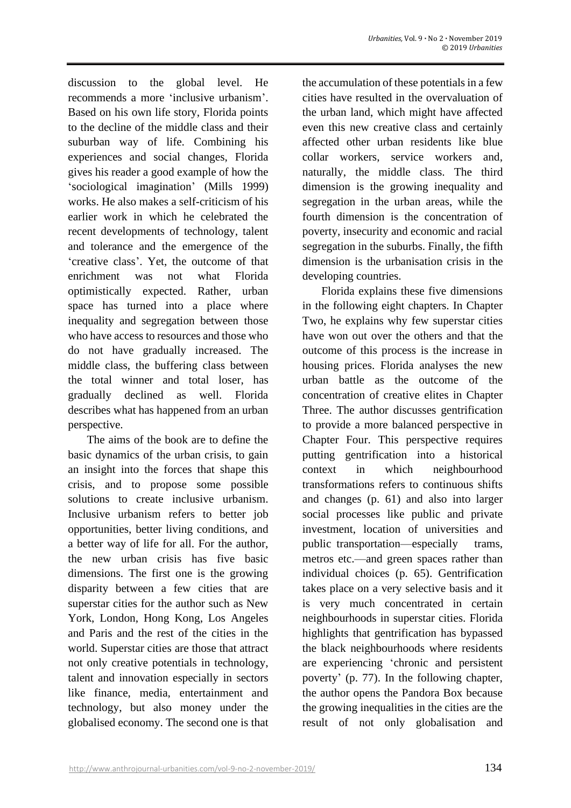discussion to the global level. He recommends a more 'inclusive urbanism'. Based on his own life story, Florida points to the decline of the middle class and their suburban way of life. Combining his experiences and social changes, Florida gives his reader a good example of how the 'sociological imagination' (Mills 1999) works. He also makes a self-criticism of his earlier work in which he celebrated the recent developments of technology, talent and tolerance and the emergence of the 'creative class'. Yet, the outcome of that enrichment was not what Florida optimistically expected. Rather, urban space has turned into a place where inequality and segregation between those who have access to resources and those who do not have gradually increased. The middle class, the buffering class between the total winner and total loser, has gradually declined as well. Florida describes what has happened from an urban perspective.

The aims of the book are to define the basic dynamics of the urban crisis, to gain an insight into the forces that shape this crisis, and to propose some possible solutions to create inclusive urbanism. Inclusive urbanism refers to better job opportunities, better living conditions, and a better way of life for all. For the author, the new urban crisis has five basic dimensions. The first one is the growing disparity between a few cities that are superstar cities for the author such as New York, London, Hong Kong, Los Angeles and Paris and the rest of the cities in the world. Superstar cities are those that attract not only creative potentials in technology, talent and innovation especially in sectors like finance, media, entertainment and technology, but also money under the globalised economy. The second one is that the accumulation of these potentials in a few cities have resulted in the overvaluation of the urban land, which might have affected even this new creative class and certainly affected other urban residents like blue collar workers, service workers and, naturally, the middle class. The third dimension is the growing inequality and segregation in the urban areas, while the fourth dimension is the concentration of poverty, insecurity and economic and racial segregation in the suburbs. Finally, the fifth dimension is the urbanisation crisis in the developing countries.

Florida explains these five dimensions in the following eight chapters. In Chapter Two, he explains why few superstar cities have won out over the others and that the outcome of this process is the increase in housing prices. Florida analyses the new urban battle as the outcome of the concentration of creative elites in Chapter Three. The author discusses gentrification to provide a more balanced perspective in Chapter Four. This perspective requires putting gentrification into a historical context in which neighbourhood transformations refers to continuous shifts and changes (p. 61) and also into larger social processes like public and private investment, location of universities and public transportation—especially trams, metros etc.—and green spaces rather than individual choices (p. 65). Gentrification takes place on a very selective basis and it is very much concentrated in certain neighbourhoods in superstar cities. Florida highlights that gentrification has bypassed the black neighbourhoods where residents are experiencing 'chronic and persistent poverty' (p. 77). In the following chapter, the author opens the Pandora Box because the growing inequalities in the cities are the result of not only globalisation and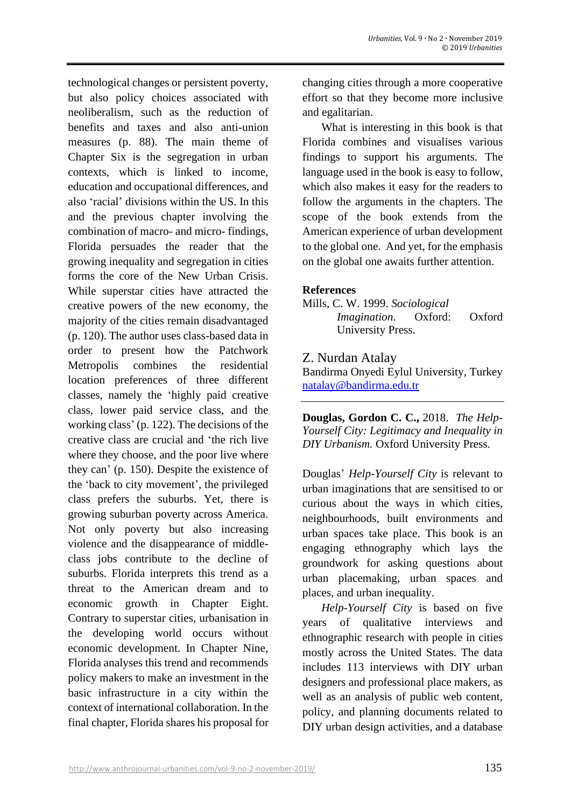technological changes or persistent poverty, but also policy choices associated with neoliberalism, such as the reduction of benefits and taxes and also anti-union measures (p. 88). The main theme of Chapter Six is the segregation in urban contexts, which is linked to income, education and occupational differences, and also 'racial' divisions within the US. In this and the previous chapter involving the combination of macro- and micro- findings, Florida persuades the reader that the growing inequality and segregation in cities forms the core of the New Urban Crisis. While superstar cities have attracted the creative powers of the new economy, the majority of the cities remain disadvantaged (p. 120). The author uses class-based data in order to present how the Patchwork Metropolis combines the residential location preferences of three different classes, namely the 'highly paid creative class, lower paid service class, and the working class' (p. 122). The decisions of the creative class are crucial and 'the rich live where they choose, and the poor live where they can' (p. 150). Despite the existence of the 'back to city movement', the privileged class prefers the suburbs. Yet, there is growing suburban poverty across America. Not only poverty but also increasing violence and the disappearance of middleclass jobs contribute to the decline of suburbs. Florida interprets this trend as a threat to the American dream and to economic growth in Chapter Eight. Contrary to superstar cities, urbanisation in the developing world occurs without economic development. In Chapter Nine, Florida analyses this trend and recommends policy makers to make an investment in the basic infrastructure in a city within the context of international collaboration. In the final chapter, Florida shares his proposal for changing cities through a more cooperative effort so that they become more inclusive and egalitarian.

What is interesting in this book is that Florida combines and visualises various findings to support his arguments. The language used in the book is easy to follow, which also makes it easy for the readers to follow the arguments in the chapters. The scope of the book extends from the American experience of urban development to the global one. And yet, for the emphasis on the global one awaits further attention.

### **References**

Mills, C. W. 1999. *Sociological Imagination*. Oxford: Oxford University Press.

Z. Nurdan Atalay

Bandirma Onyedi Eylul University, Turkey [natalay@bandirma.edu.tr](mailto:natalay@bandirma.edu.tr)

**Douglas, Gordon C. C.,** 2018. *The Help-Yourself City: Legitimacy and Inequality in DIY Urbanism.* Oxford University Press.

Douglas' *Help-Yourself City* is relevant to urban imaginations that are sensitised to or curious about the ways in which cities, neighbourhoods, built environments and urban spaces take place. This book is an engaging ethnography which lays the groundwork for asking questions about urban placemaking, urban spaces and places, and urban inequality.

*Help-Yourself City* is based on five years of qualitative interviews and ethnographic research with people in cities mostly across the United States. The data includes 113 interviews with DIY urban designers and professional place makers, as well as an analysis of public web content, policy, and planning documents related to DIY urban design activities, and a database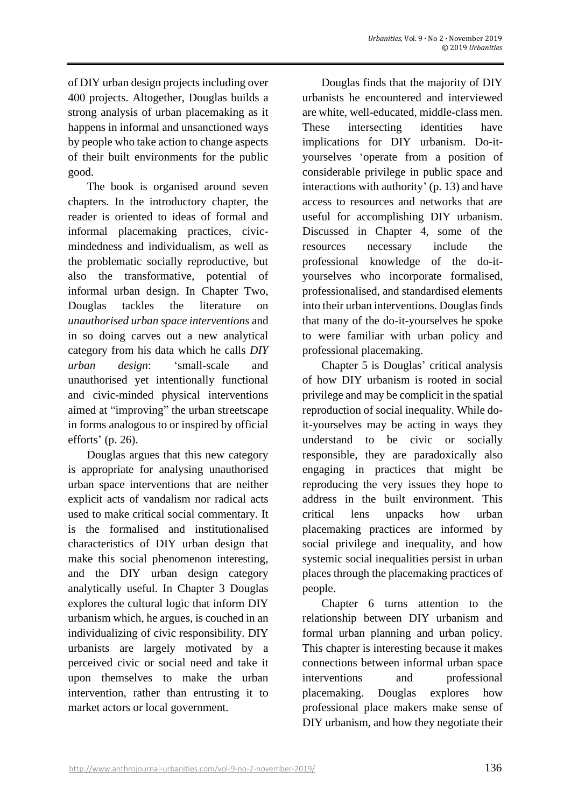of DIY urban design projects including over 400 projects. Altogether, Douglas builds a strong analysis of urban placemaking as it happens in informal and unsanctioned ways by people who take action to change aspects of their built environments for the public good.

The book is organised around seven chapters. In the introductory chapter, the reader is oriented to ideas of formal and informal placemaking practices, civicmindedness and individualism, as well as the problematic socially reproductive, but also the transformative, potential of informal urban design. In Chapter Two, Douglas tackles the literature on *unauthorised urban space interventions* and in so doing carves out a new analytical category from his data which he calls *DIY urban design*: 'small-scale and unauthorised yet intentionally functional and civic-minded physical interventions aimed at "improving" the urban streetscape in forms analogous to or inspired by official efforts' (p. 26).

Douglas argues that this new category is appropriate for analysing unauthorised urban space interventions that are neither explicit acts of vandalism nor radical acts used to make critical social commentary. It is the formalised and institutionalised characteristics of DIY urban design that make this social phenomenon interesting, and the DIY urban design category analytically useful. In Chapter 3 Douglas explores the cultural logic that inform DIY urbanism which, he argues, is couched in an individualizing of civic responsibility. DIY urbanists are largely motivated by a perceived civic or social need and take it upon themselves to make the urban intervention, rather than entrusting it to market actors or local government.

Douglas finds that the majority of DIY urbanists he encountered and interviewed are white, well-educated, middle-class men. These intersecting identities have implications for DIY urbanism. Do-ityourselves 'operate from a position of considerable privilege in public space and interactions with authority' (p. 13) and have access to resources and networks that are useful for accomplishing DIY urbanism. Discussed in Chapter 4, some of the resources necessary include the professional knowledge of the do-ityourselves who incorporate formalised, professionalised, and standardised elements into their urban interventions. Douglas finds that many of the do-it-yourselves he spoke to were familiar with urban policy and professional placemaking.

Chapter 5 is Douglas' critical analysis of how DIY urbanism is rooted in social privilege and may be complicit in the spatial reproduction of social inequality. While doit-yourselves may be acting in ways they understand to be civic or socially responsible, they are paradoxically also engaging in practices that might be reproducing the very issues they hope to address in the built environment. This critical lens unpacks how urban placemaking practices are informed by social privilege and inequality, and how systemic social inequalities persist in urban places through the placemaking practices of people.

Chapter 6 turns attention to the relationship between DIY urbanism and formal urban planning and urban policy. This chapter is interesting because it makes connections between informal urban space interventions and professional placemaking. Douglas explores how professional place makers make sense of DIY urbanism, and how they negotiate their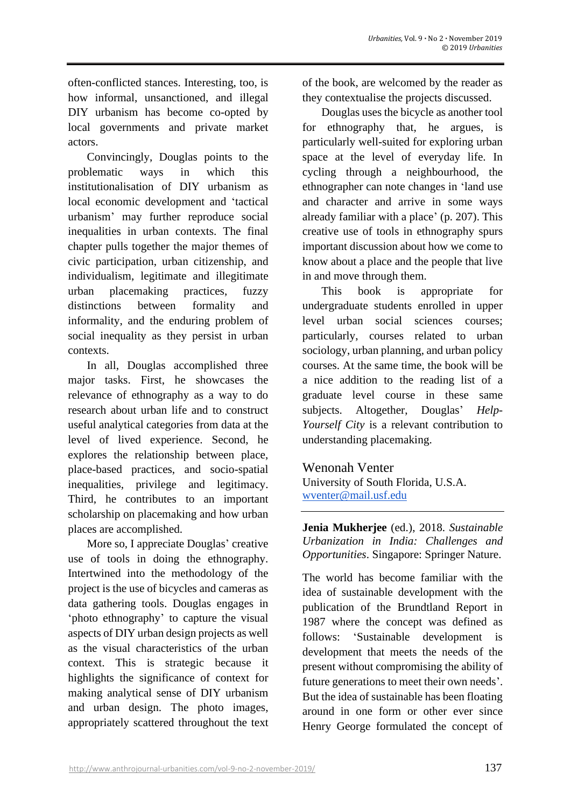often-conflicted stances. Interesting, too, is how informal, unsanctioned, and illegal DIY urbanism has become co-opted by local governments and private market actors.

Convincingly, Douglas points to the problematic ways in which this institutionalisation of DIY urbanism as local economic development and 'tactical urbanism' may further reproduce social inequalities in urban contexts. The final chapter pulls together the major themes of civic participation, urban citizenship, and individualism, legitimate and illegitimate urban placemaking practices, fuzzy distinctions between formality and informality, and the enduring problem of social inequality as they persist in urban contexts.

In all, Douglas accomplished three major tasks. First, he showcases the relevance of ethnography as a way to do research about urban life and to construct useful analytical categories from data at the level of lived experience. Second, he explores the relationship between place, place-based practices, and socio-spatial inequalities, privilege and legitimacy. Third, he contributes to an important scholarship on placemaking and how urban places are accomplished.

More so, I appreciate Douglas' creative use of tools in doing the ethnography. Intertwined into the methodology of the project is the use of bicycles and cameras as data gathering tools. Douglas engages in 'photo ethnography' to capture the visual aspects of DIY urban design projects as well as the visual characteristics of the urban context. This is strategic because it highlights the significance of context for making analytical sense of DIY urbanism and urban design. The photo images, appropriately scattered throughout the text of the book, are welcomed by the reader as they contextualise the projects discussed.

Douglas uses the bicycle as another tool for ethnography that, he argues, is particularly well-suited for exploring urban space at the level of everyday life. In cycling through a neighbourhood, the ethnographer can note changes in 'land use and character and arrive in some ways already familiar with a place' (p. 207). This creative use of tools in ethnography spurs important discussion about how we come to know about a place and the people that live in and move through them.

This book is appropriate for undergraduate students enrolled in upper level urban social sciences courses; particularly, courses related to urban sociology, urban planning, and urban policy courses. At the same time, the book will be a nice addition to the reading list of a graduate level course in these same subjects. Altogether, Douglas' *Help-Yourself City* is a relevant contribution to understanding placemaking.

# Wenonah Venter

University of South Florida, U.S.A. [wventer@mail.usf.edu](mailto:wventer@mail.usf.edu)

**Jenia Mukherjee** (ed.), 2018. *Sustainable Urbanization in India: Challenges and Opportunities*. Singapore: Springer Nature.

The world has become familiar with the idea of sustainable development with the publication of the Brundtland Report in 1987 where the concept was defined as follows: 'Sustainable development is development that meets the needs of the present without compromising the ability of future generations to meet their own needs'. But the idea of sustainable has been floating around in one form or other ever since Henry George formulated the concept of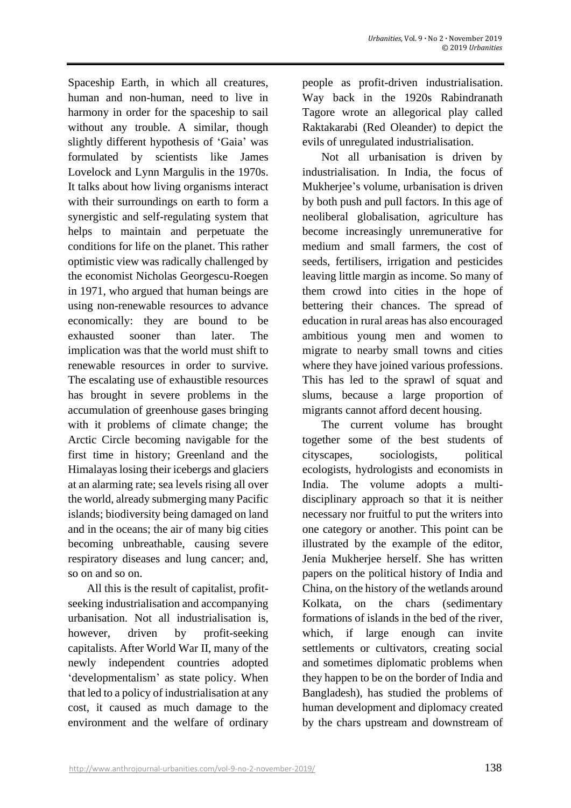Spaceship Earth, in which all creatures, human and non-human, need to live in harmony in order for the spaceship to sail without any trouble. A similar, though slightly different hypothesis of 'Gaia' was formulated by scientists like James Lovelock and Lynn Margulis in the 1970s. It talks about how living organisms interact with their surroundings on earth to form a synergistic and self-regulating system that helps to maintain and perpetuate the conditions for life on the planet. This rather optimistic view was radically challenged by the economist Nicholas Georgescu-Roegen in 1971, who argued that human beings are using non-renewable resources to advance economically: they are bound to be exhausted sooner than later. The implication was that the world must shift to renewable resources in order to survive. The escalating use of exhaustible resources has brought in severe problems in the accumulation of greenhouse gases bringing with it problems of climate change; the Arctic Circle becoming navigable for the first time in history; Greenland and the Himalayas losing their icebergs and glaciers at an alarming rate; sea levels rising all over the world, already submerging many Pacific islands; biodiversity being damaged on land and in the oceans; the air of many big cities becoming unbreathable, causing severe respiratory diseases and lung cancer; and, so on and so on.

All this is the result of capitalist, profitseeking industrialisation and accompanying urbanisation. Not all industrialisation is, however, driven by profit-seeking capitalists. After World War II, many of the newly independent countries adopted 'developmentalism' as state policy. When that led to a policy of industrialisation at any cost, it caused as much damage to the environment and the welfare of ordinary

people as profit-driven industrialisation. Way back in the 1920s Rabindranath Tagore wrote an allegorical play called Raktakarabi (Red Oleander) to depict the evils of unregulated industrialisation.

Not all urbanisation is driven by industrialisation. In India, the focus of Mukherjee's volume, urbanisation is driven by both push and pull factors. In this age of neoliberal globalisation, agriculture has become increasingly unremunerative for medium and small farmers, the cost of seeds, fertilisers, irrigation and pesticides leaving little margin as income. So many of them crowd into cities in the hope of bettering their chances. The spread of education in rural areas has also encouraged ambitious young men and women to migrate to nearby small towns and cities where they have joined various professions. This has led to the sprawl of squat and slums, because a large proportion of migrants cannot afford decent housing.

The current volume has brought together some of the best students of cityscapes, sociologists, political ecologists, hydrologists and economists in India. The volume adopts a multidisciplinary approach so that it is neither necessary nor fruitful to put the writers into one category or another. This point can be illustrated by the example of the editor, Jenia Mukherjee herself. She has written papers on the political history of India and China, on the history of the wetlands around Kolkata, on the chars (sedimentary formations of islands in the bed of the river, which, if large enough can invite settlements or cultivators, creating social and sometimes diplomatic problems when they happen to be on the border of India and Bangladesh), has studied the problems of human development and diplomacy created by the chars upstream and downstream of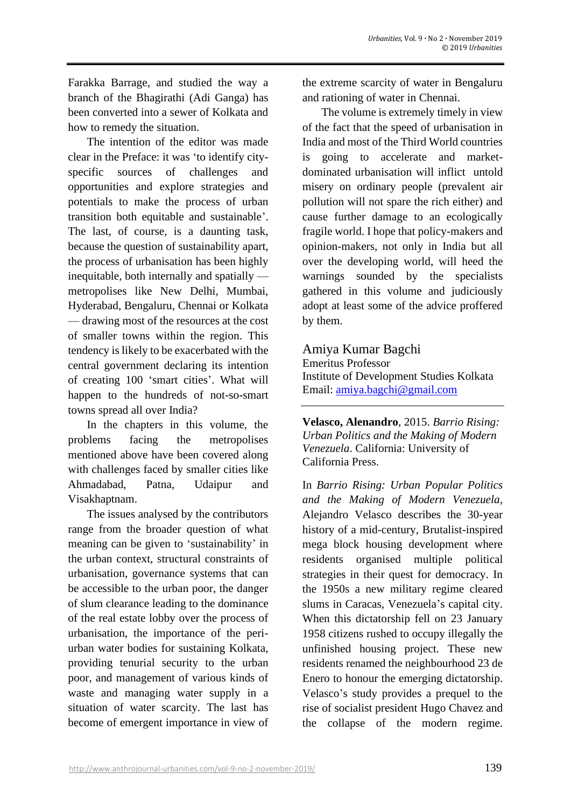Farakka Barrage, and studied the way a branch of the Bhagirathi (Adi Ganga) has been converted into a sewer of Kolkata and how to remedy the situation.

The intention of the editor was made clear in the Preface: it was 'to identify cityspecific sources of challenges and opportunities and explore strategies and potentials to make the process of urban transition both equitable and sustainable'. The last, of course, is a daunting task, because the question of sustainability apart, the process of urbanisation has been highly inequitable, both internally and spatially metropolises like New Delhi, Mumbai, Hyderabad, Bengaluru, Chennai or Kolkata — drawing most of the resources at the cost of smaller towns within the region. This tendency is likely to be exacerbated with the central government declaring its intention of creating 100 'smart cities'. What will happen to the hundreds of not-so-smart towns spread all over India?

In the chapters in this volume, the problems facing the metropolises mentioned above have been covered along with challenges faced by smaller cities like Ahmadabad, Patna, Udaipur and Visakhaptnam.

The issues analysed by the contributors range from the broader question of what meaning can be given to 'sustainability' in the urban context, structural constraints of urbanisation, governance systems that can be accessible to the urban poor, the danger of slum clearance leading to the dominance of the real estate lobby over the process of urbanisation, the importance of the periurban water bodies for sustaining Kolkata, providing tenurial security to the urban poor, and management of various kinds of waste and managing water supply in a situation of water scarcity. The last has become of emergent importance in view of the extreme scarcity of water in Bengaluru and rationing of water in Chennai.

The volume is extremely timely in view of the fact that the speed of urbanisation in India and most of the Third World countries is going to accelerate and marketdominated urbanisation will inflict untold misery on ordinary people (prevalent air pollution will not spare the rich either) and cause further damage to an ecologically fragile world. I hope that policy-makers and opinion-makers, not only in India but all over the developing world, will heed the warnings sounded by the specialists gathered in this volume and judiciously adopt at least some of the advice proffered by them.

## Amiya Kumar Bagchi

Emeritus Professor Institute of Development Studies Kolkata Email: [amiya.bagchi@gmail.com](mailto:amiya.bagchi@gmail.com)

**Velasco, Alenandro**, 2015. *Barrio Rising: Urban Politics and the Making of Modern Venezuela*. California: University of California Press.

In *Barrio Rising: Urban Popular Politics and the Making of Modern Venezuela*, Alejandro Velasco describes the 30-year history of a mid-century, Brutalist-inspired mega block housing development where residents organised multiple political strategies in their quest for democracy. In the 1950s a new military regime cleared slums in Caracas, Venezuela's capital city. When this dictatorship fell on 23 January 1958 citizens rushed to occupy illegally the unfinished housing project. These new residents renamed the neighbourhood 23 de Enero to honour the emerging dictatorship. Velasco's study provides a prequel to the rise of socialist president Hugo Chavez and the collapse of the modern regime.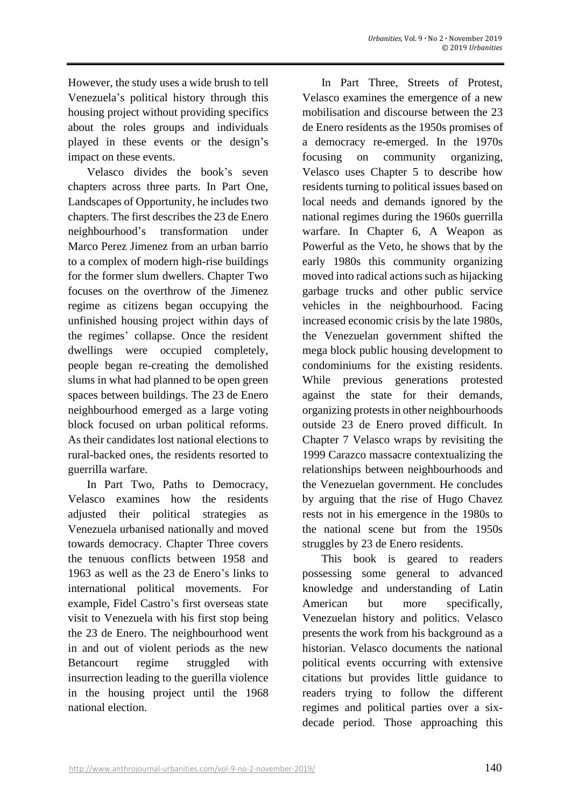However, the study uses a wide brush to tell Venezuela's political history through this housing project without providing specifics about the roles groups and individuals played in these events or the design's impact on these events.

Velasco divides the book's seven chapters across three parts. In Part One, Landscapes of Opportunity, he includes two chapters. The first describes the 23 de Enero neighbourhood's transformation under Marco Perez Jimenez from an urban barrio to a complex of modern high-rise buildings for the former slum dwellers. Chapter Two focuses on the overthrow of the Jimenez regime as citizens began occupying the unfinished housing project within days of the regimes' collapse. Once the resident dwellings were occupied completely, people began re-creating the demolished slums in what had planned to be open green spaces between buildings. The 23 de Enero neighbourhood emerged as a large voting block focused on urban political reforms. As their candidates lost national elections to rural-backed ones, the residents resorted to guerrilla warfare.

In Part Two, Paths to Democracy, Velasco examines how the residents adjusted their political strategies as Venezuela urbanised nationally and moved towards democracy. Chapter Three covers the tenuous conflicts between 1958 and 1963 as well as the 23 de Enero's links to international political movements. For example, Fidel Castro's first overseas state visit to Venezuela with his first stop being the 23 de Enero. The neighbourhood went in and out of violent periods as the new Betancourt regime struggled with insurrection leading to the guerilla violence in the housing project until the 1968 national election.

In Part Three, Streets of Protest, Velasco examines the emergence of a new mobilisation and discourse between the 23 de Enero residents as the 1950s promises of a democracy re-emerged. In the 1970s focusing on community organizing, Velasco uses Chapter 5 to describe how residents turning to political issues based on local needs and demands ignored by the national regimes during the 1960s guerrilla warfare. In Chapter 6, A Weapon as Powerful as the Veto, he shows that by the early 1980s this community organizing moved into radical actions such as hijacking garbage trucks and other public service vehicles in the neighbourhood. Facing increased economic crisis by the late 1980s, the Venezuelan government shifted the mega block public housing development to condominiums for the existing residents. While previous generations protested against the state for their demands, organizing protests in other neighbourhoods outside 23 de Enero proved difficult. In Chapter 7 Velasco wraps by revisiting the 1999 Carazco massacre contextualizing the relationships between neighbourhoods and the Venezuelan government. He concludes by arguing that the rise of Hugo Chavez rests not in his emergence in the 1980s to the national scene but from the 1950s struggles by 23 de Enero residents.

This book is geared to readers possessing some general to advanced knowledge and understanding of Latin American but more specifically, Venezuelan history and politics. Velasco presents the work from his background as a historian. Velasco documents the national political events occurring with extensive citations but provides little guidance to readers trying to follow the different regimes and political parties over a sixdecade period. Those approaching this